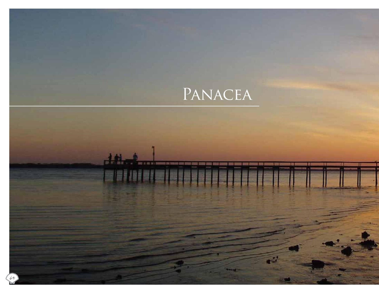# PANACEA

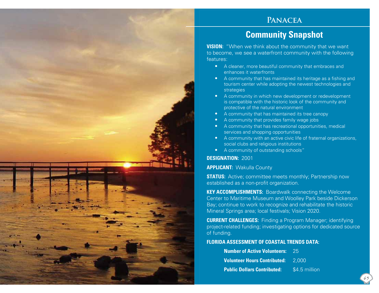#### **Panacea**

### **Community Snapshot**

**VISION:** "When we think about the community that we want to become, we see a waterfront community with the following features:

- A cleaner, more beautiful community that embraces and enhances it waterfronts
- A community that has maintained its heritage as a fishing and tourism center while adopting the newest technologies and strategies
- A community in which new development or redevelopment is compatible with the historic look of the community and protective of the natural environment
- A community that has maintained its tree canopy
- A community that provides family wage jobs
- A community that has recreational opportunities, medical services and shopping opportunities
- A community with an active civic life of fraternal organizations, social clubs and religious institutions
- A community of outstanding schools"

#### **DESIGNATION:** 2001

#### **APPLICANT:** Wakulla County

**STATUS:** Active; committee meets monthly; Partnership now established as a non-profit organization.

**KEY ACCOMPLISHMENTS:** Boardwalk connecting the Welcome Center to Maritime Museum and Woolley Park beside Dickerson Bay; continue to work to recognize and rehabilitate the historic Mineral Springs area; local festivals; Vision 2020.

**CURRENT CHALLENGES:** Finding a Program Manager; identifying project-related funding; investigating options for dedicated source of funding.

#### **FLORIDA ASSESSMENT OF COASTAL TRENDS DATA:**

| <b>Number of Active Volunteers: 25</b>    |               |
|-------------------------------------------|---------------|
| <b>Volunteer Hours Contributed: 2.000</b> |               |
| <b>Public Dollars Contributed:</b>        | \$4.5 million |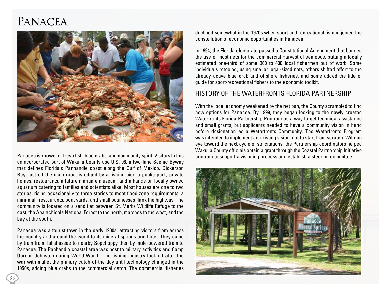## **PANACEA**



Panacea is known for fresh fish, blue crabs, and community spirit. Visitors to this unincorporated part of Wakulla County use U.S. 98, a two-lane Scenic Byway that defines Florida's Panhandle coast along the Gulf of Mexico. Dickerson Bay, just off the main road, is edged by a fishing pier, a public park, private homes, restaurants, a future maritime museum, and a hands-on locally owned aquarium catering to families and scientists alike. Most houses are one to two stories, rising occasionally to three stories to meet flood zone requirements; a mini-mall, restaurants, boat yards, and small businesses flank the highway. The community is located on a sand flat between St. Marks Wildlife Refuge to the east, the Apalachicola National Forest to the north, marshes to the west, and the bay at the south.

Panacea was a tourist town in the early 1900s, attracting visitors from across the country and around the world to its mineral springs and hotel. They came by train from Tallahassee to nearby Sopchoppy then by mule-powered tram to Panacea. The Panhandle coastal area was host to military activities and Camp Gordon Johnston during World War II. The fishing industry took off after the war with mullet the primary catch-of-the-day until technology changed in the 1950s, adding blue crabs to the commercial catch. The commercial fisheries

declined somewhat in the 1970s when sport and recreational fishing joined the constellation of economic opportunities in Panacea.

In 1994, the Florida electorate passed a Constitutional Amendment that banned the use of most nets for the commercial harvest of seafoods, putting a locally estimated one-third of some 300 to 400 local fishermen out of work. Some individuals retooled, using smaller legal-sized nets, others shifted effort to the already active blue crab and offshore fisheries, and some added the title of guide for sport/recreational fishers to the economic toolkit.

#### History of the Waterfronts Florida Partnership

With the local economy weakened by the net ban, the County scrambled to find new options for Panacea. By 1999, they began looking to the newly created Waterfronts Florida Partnership Program as a way to get technical assistance and small grants, but applicants needed to have a community vision in hand before designation as a Waterfronts Community. The Waterfronts Program was intended to implement an existing vision, not to start from scratch. With an eye toward the next cycle of solicitations, the Partnership coordinators helped Wakulla County officials obtain a grant through the Coastal Partnership Initiative program to support a visioning process and establish a steering committee.



66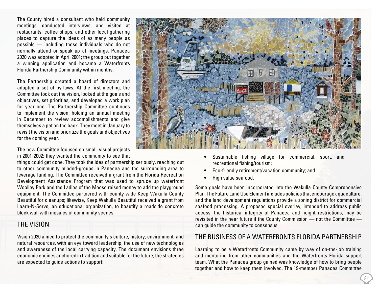The County hired a consultant who held community meetings, conducted interviews, and visited at restaurants, coffee shops, and other local gathering places to capture the ideas of as many people as possible — including those individuals who do not normally attend or speak up at meetings. Panacea 2020 was adopted in April 2001; the group put together a winning application and became a Waterfronts Florida Partnership Community within months.

The Partnership created a board of directors and adopted a set of by-laws. At the first meeting, the Committee took out the vision, looked at the goals and objectives, set priorities, and developed a work plan for year one. The Partnership Committee continues to implement the vision, holding an annual meeting in December to review accomplishments and give themselves a pat on the back. They meet in January to revisit the vision and prioritize the goals and objectives for the coming year.

The new Committee focused on small, visual projects in 2001-2002: they wanted the community to see that

things could get done. They took the idea of partnership seriously, reaching out to other community minded-groups in Panacea and the surrounding area to leverage funding. The Committee received a grant from the Florida Recreation Development Assistance Program that was used to spruce up waterfront Woolley Park and the Ladies of the Moose raised money to add the playground equipment. The Committee partnered with county-wide Keep Wakulla County Beautiful for cleanups; likewise, Keep Wakulla Beautiful received a grant from Learn-N-Serve, an educational organization, to beautify a roadside concrete block wall with mosaics of community scenes.

#### The Vision

Vision 2020 aimed to protect the community's culture, history, environment, and natural resources, with an eye toward leadership, the use of new technologies and awareness of the local carrying capacity. The document envisions three economic engines anchored in tradition and suitable for the future; the strategies are expected to guide actions to support:



- Sustainable fishing village for commercial, sport, and recreational fishing/tourism;
- Eco-friendly retirement/vacation community; and
- High value seafood.

Some goals have been incorporated into the Wakulla County Comprehensive Plan. The Future Land Use Element includes policies that encourage aquaculture, and the land development regulations provide a zoning district for commercial seafood processing. A proposed special overlay, intended to address public access, the historical integrity of Panacea and height restrictions, may be revisited in the near future if the County Commission — not the Committee can guide the community to consensus.

#### The Business of a Waterfronts Florida Partnership

Learning to be a Waterfronts Community came by way of on-the-job training and mentoring from other communities and the Waterfronts Florida support team. What the Panacea group gained was knowledge of how to bring people together and how to keep them involved. The 19-member Panacea Committee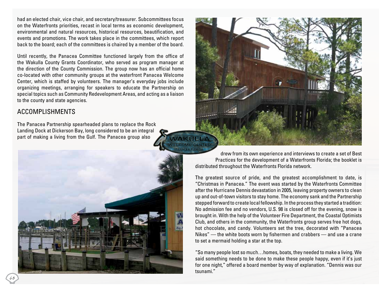had an elected chair, vice chair, and secretary/treasurer. Subcommittees focus on the Waterfronts priorities, recast in local terms as economic development, environmental and natural resources, historical resources, beautification, and events and promotions. The work takes place in the committees, which report back to the board; each of the committees is chaired by a member of the board.

Until recently, the Panacea Committee functioned largely from the office of the Wakulla County Grants Coordinator, who served as program manager at the direction of the County Commission. The group now has an official home co-located with other community groups at the waterfront Panacea Welcome Center, which is staffed by volunteers. The manager's everyday jobs include organizing meetings, arranging for speakers to educate the Partnership on special topics such as Community Redevelopment Areas, and acting as a liaison to the county and state agencies.

#### Accomplishments

The Panacea Partnership spearheaded plans to replace the Rock Landing Dock at Dickerson Bay, long considered to be an integral part of making a living from the Gulf. The Panacea group also





drew from its own experience and interviews to create a set of Best Practices for the development of a Waterfronts Florida; the booklet is distributed throughout the Waterfronts Florida network.

The greatest source of pride, and the greatest accomplishment to date, is "Christmas in Panacea." The event was started by the Waterfronts Committee after the Hurricane Dennis devastation in 2005, leaving property owners to clean up and out-of-town visitors to stay home. The economy sank and the Partnership stepped forward to create local fellowship. In the process they started a tradition: No admission fee and no vendors, U.S. 98 is closed off for the evening, snow is brought in. With the help of the Volunteer Fire Department, the Coastal Optimists Club, and others in the community, the Waterfronts group serves free hot dogs, hot chocolate, and candy. Volunteers set the tree, decorated with "Panacea Nikes" — the white boots worn by fishermen and crabbers — and use a crane to set a mermaid holding a star at the top.

"So many people lost so much…homes, boats, they needed to make a living. We said something needs to be done to make these people happy, even if it's just for one night," offered a board member by way of explanation. "Dennis was our tsunami."